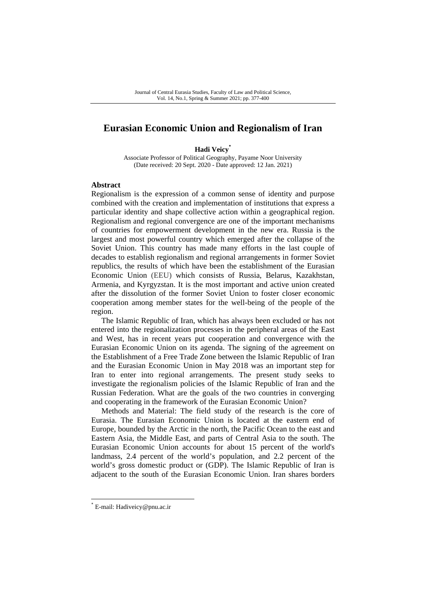## **Eurasian Economic Union and Regionalism of Iran**

**Hadi Veicy\***

Associate Professor of Political Geography, Payame Noor University (Date received: 20 Sept. 2020 - Date approved: 12 Jan. 2021)

### **Abstract**

Regionalism is the expression of a common sense of identity and purpose combined with the creation and implementation of institutions that express a particular identity and shape collective action within a geographical region. Regionalism and regional convergence are one of the important mechanisms of countries for empowerment development in the new era. Russia is the largest and most powerful country which emerged after the collapse of the Soviet Union. This country has made many efforts in the last couple of decades to establish regionalism and regional arrangements in former Soviet republics, the results of which have been the establishment of the Eurasian Economic Union (EEU) which consists of Russia, Belarus, Kazakhstan, Armenia, and Kyrgyzstan. It is the most important and active union created after the dissolution of the former Soviet Union to foster closer economic cooperation among member states for the well-being of the people of the region.

The Islamic Republic of Iran, which has always been excluded or has not entered into the regionalization processes in the peripheral areas of the East and West, has in recent years put cooperation and convergence with the Eurasian Economic Union on its agenda. The signing of the agreement on the Establishment of a Free Trade Zone between the Islamic Republic of Iran and the Eurasian Economic Union in May 2018 was an important step for Iran to enter into regional arrangements. The present study seeks to investigate the regionalism policies of the Islamic Republic of Iran and the Russian Federation. What are the goals of the two countries in converging and cooperating in the framework of the Eurasian Economic Union?

Methods and Material: The field study of the research is the core of Eurasia. The Eurasian Economic Union is located at the eastern end of Europe, bounded by the Arctic in the north, the Pacific Ocean to the east and Eastern Asia, the Middle East, and parts of Central Asia to the south. The Eurasian Economic Union accounts for about 15 percent of the world's landmass, 2.4 percent of the world's population, and 2.2 percent of the world's gross domestic product or (GDP). The Islamic Republic of Iran is adjacent to the south of the Eurasian Economic Union. Iran shares borders

<sup>\*</sup> E-mail: Hadiveicy@pnu.ac.ir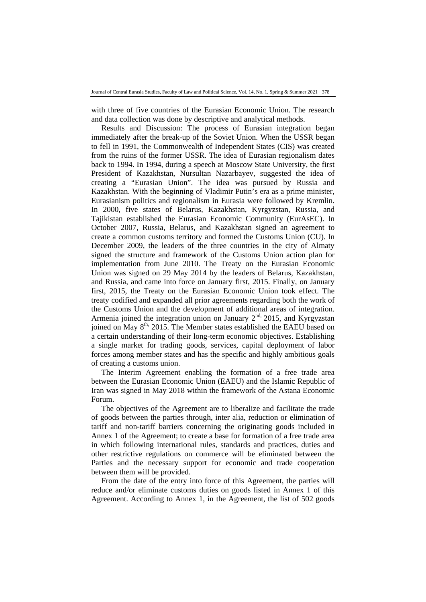with three of five countries of the Eurasian Economic Union. The research and data collection was done by descriptive and analytical methods.

Results and Discussion: The process of Eurasian integration began immediately after the break-up of the Soviet Union. When the USSR began to fell in 1991, the Commonwealth of Independent States (CIS) was created from the ruins of the former USSR. The idea of Eurasian regionalism dates back to 1994. In 1994, during a speech at Moscow State University, the first President of Kazakhstan, Nursultan Nazarbayev, suggested the idea of creating a "Eurasian Union". The idea was pursued by Russia and Kazakhstan. With the beginning of Vladimir Putin's era as a prime minister, Eurasianism politics and regionalism in Eurasia were followed by Kremlin. In 2000, five states of Belarus, Kazakhstan, Kyrgyzstan, Russia, and Tajikistan established the Eurasian Economic Community (EurAsEC). In October 2007, Russia, Belarus, and Kazakhstan signed an agreement to create a common customs territory and formed the Customs Union (CU). In December 2009, the leaders of the three countries in the city of Almaty signed the structure and framework of the Customs Union action plan for implementation from June 2010. The Treaty on the Eurasian Economic Union was signed on 29 May 2014 by the leaders of Belarus, Kazakhstan, and Russia, and came into force on January first, 2015. Finally, on January first, 2015, the Treaty on the Eurasian Economic Union took effect. The treaty codified and expanded all prior agreements regarding both the work of the Customs Union and the development of additional areas of integration. Armenia joined the integration union on January  $2^{nd}$ , 2015, and Kyrgyzstan joined on May 8<sup>th,</sup> 2015. The Member states established the EAEU based on a certain understanding of their long-term economic objectives. Establishing a single market for trading goods, services, capital deployment of labor forces among member states and has the specific and highly ambitious goals of creating a customs union.

The Interim Agreement enabling the formation of a free trade area between the Eurasian Economic Union (EAEU) and the Islamic Republic of Iran was signed in May 2018 within the framework of the Astana Economic Forum.

The objectives of the Agreement are to liberalize and facilitate the trade of goods between the parties through, inter alia, reduction or elimination of tariff and non-tariff barriers concerning the originating goods included in Annex 1 of the Agreement; to create a base for formation of a free trade area in which following international rules, standards and practices, duties and other restrictive regulations on commerce will be eliminated between the Parties and the necessary support for economic and trade cooperation between them will be provided.

From the date of the entry into force of this Agreement, the parties will reduce and/or eliminate customs duties on goods listed in Annex 1 of this Agreement. According to Annex 1, in the Agreement, the list of 502 goods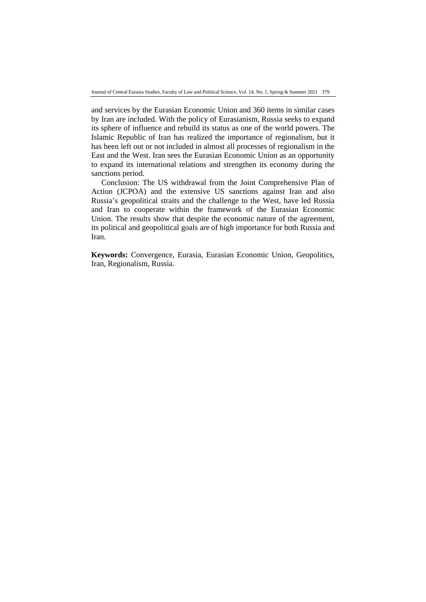and services by the Eurasian Economic Union and 360 items in similar cases by Iran are included. With the policy of Eurasianism, Russia seeks to expand its sphere of influence and rebuild its status as one of the world powers. The Islamic Republic of Iran has realized the importance of regionalism, but it has been left out or not included in almost all processes of regionalism in the East and the West. Iran sees the Eurasian Economic Union as an opportunity to expand its international relations and strengthen its economy during the sanctions period.

Conclusion: The US withdrawal from the Joint Comprehensive Plan of Action (JCPOA) and the extensive US sanctions against Iran and also Russia's geopolitical straits and the challenge to the West, have led Russia and Iran to cooperate within the framework of the Eurasian Economic Union. The results show that despite the economic nature of the agreement, its political and geopolitical goals are of high importance for both Russia and Iran.

**Keywords:** Convergence, Eurasia, Eurasian Economic Union, Geopolitics, Iran, Regionalism, Russia.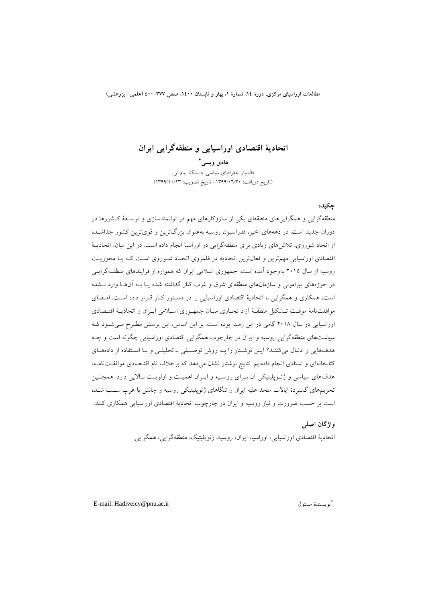**اتحادية اقتصادي اوراسيايي و منطقهگرايي ايران** 

 **هادي ويسي** دانشيار جغرافياي سياسي، دانشگاه پيام نور (تاريخ دريافت: -1399/06/30 تاريخ تصويب: 1399/10/23)

## **چكيده**

منطقهگرايي و همگراييهاي منطقهاي يكي از سازوكارهاي مهم در توانمندسازي و توسـعة كـشورها در دوران جديد است. در دهههاي اخير، فدراسيون روسيه بهعنوان بزرگترين و قويترين كشور جداشـده از اتحاد شوروي، تلاشهاي زيادي براي منطقهگرايي در اوراسيا انجام داده است. در اين ميان، اتحاديـة اقتصادي اوراسيايي مهمترين و فعالترين اتحاديه در قلمروي اتحـاد شـوروي اسـت كـه بـا محوريـت روسيه از سال 2015 بهوجود آمده است. جمهوري اسلامي ايران كه همواره از فرايندهاي منطقـهگرايـي در حوزههاي پيراموني و سازمانهاي منطقهاي شرق و غرب كنار گذاشته شده يـا بـه آنهـا وارد نـشده است، همكاري و همگرايي با اتحادية اقتصادي اوراسيايي را در دسـتور كـار قـرار داده اسـت. امـضاي موافقتنامة موقـت تـشكيل منطقـة آزاد تجـاري ميـان جمهـوري اسـلامي ايـران و اتحاديـة اقتـصادي اوراسيايي در سال 2018 گامي در اين زمينه بوده است. بر اين اساس، اين پرسش مطـرح مـيشـود كـه سياستهاي منطقهگرايي روسيه و ايران در چارچوب همگرايي اقتصادي اوراسيايي چگونه است و چـه هدفهايي را دنبال ميكننـد؟ ايـن نوشـتار را بـه روش توصـيفي ـ تحليلـي و بـا اسـتفاده از دادههـاي كتابخانهاي و اسنادي انجام دادهايم. نتايج نوشتار نشان ميدهد كه برخلاف نام اقتـصادي موافقـتنامـه، هدفهاي سياسي و ژئـوپليتيكي آن بـراي روسـيه و ايـران اهميـت و اولويـت بـالايي دارد. همچنـين تحريمهاي گستردة ايالات متحد عليه ايران و تنگاهاي ژئوپليتيكي روسيه و چالش با غرب سـبب شـده است بر حسب ضرورت و نياز روسيه و ايران در چارچوب اتحادية اقتصادي اوراسيايي همكاري كنند.

> **واژگان اصلي**  اتحادية اقتصادي اوراسيايي، اوراسيا، ايران، روسيه، ژئوپليتيك، منطقهگرايي، همگرايي.

E-mail: Hadiveicy@pnu.ac.ir مسئول نويسندة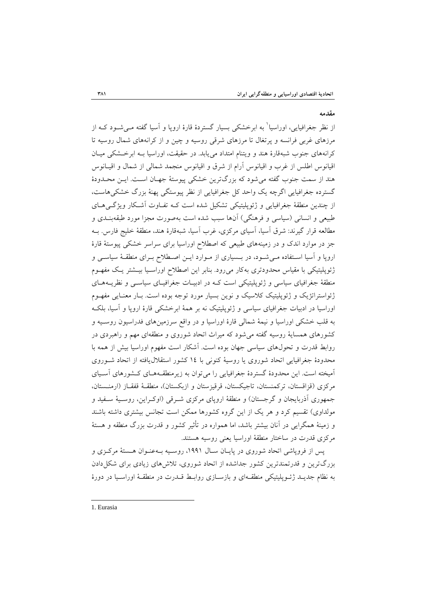### **مقدمه**

از نظر جغرافيايي، اوراسيا<sup>\</sup> به ابرخشكي بسيار گستردهٔ قارهٔ اروپا و آسيا گفته مـيشــود كــه از مرزهاي غربي فرانسه و پرتغال تا مرزهاي شرقي روسيه و چين و از كرانههاي شمال روسيه تا كرانههاي جنوب شبهقارة هند و ويتنام امتداد مييابد. در حقيقت، اوراسيا بـه ابرخـشكي ميـان اقيانوس اطلس از غرب و اقيانوس آرام از شرق و اقيانوس منجمد شمالي از شمال و اقيـانوس هند از سمت جنوب گفته ميشود كه بزرگترين خشكي پيوستة جهـان اسـت. ايـن محـدودة گسترده جغرافيايي اگرچه يك واحد كل جغرافيايي از نظر پيوستگي پهنة بزرگ خشكيهاست، از چندين منطقة جغرافيايي و ژئوپليتيكي تشكيل شده است كـه تفـاوت آشـكار ويژگـيهـاي طبيعي و انساني (سياسي و فرهنگي) آنها سبب شده است بهصورت مجزا مورد طبقهبنـدي و مطالعه قرار گيرند: شرق آسيا، آسياي مركزي، غرب آسيا، شبهقارة هند، منطقة خليج فارس. بـه جز در موارد اندك و در زمينههاي طبيعي كه اصطلاح اوراسيا براي سراسر خشكي پيوستة قارة اروپا و آسيا اسـتفاده مـيشـود، در بـسياري از مـوارد ايـن اصـطلاح بـراي منطقـة سياسـي و ژئوپليتيكي با مقياس محدودتري بهكار ميرود. بنابر اين اصطلاح اوراسـيا بيـشتر يـك مفهـوم منطقة جغرافياي سياسي و ژئوپليتيكي است كـه در ادبيـات جغرافيـاي سياسـي و نظريـههـاي ژئواستراتژيك و ژئوپليتيك كلاسيك و نوين بسيار مورد توجه بوده است. بـار معنـايي مفهـوم اوراسيا در ادبيات جغرافياي سياسي و ژئوپليتيك نه بر همة ابرخشكي قارة اروپا و آسيا، بلكـه به قلب خشكي اوراسيا و نيمة شمالي قارة اوراسيا و در واقع سرزمينهاي فدراسيون روسـيه و كشورهاي همساية روسيه گفته ميشود كه ميراث اتحاد شوروي و منطقهاي مهم و راهبردي در روابط قدرت و تحولهاي سياسي جهان بوده است. آشكار است مفهوم اوراسيا بيش از همه با محدودة جغرافيايي اتحاد شوروي يا روسية كنوني با 14 كشور استقلاليافته از اتحاد شـوروي آميخته است. اين محدودة گستردة جغرافيايي را ميتوان به زيرمنطقـههـاي كـشورهاي آسـياي مركزي (قزاقستان، تركمنستان، تاجيكستان، قرقيزستان و ازبكستان)، منطقـة قفقـاز (ارمنـستان، جمهوري آذربايجان و گرجستان) و منطقة اروپاي مركزي شـرقي (اوكـراين، روسـية سـفيد و مولداوي) تقسيم كرد و هر يك از اين گروه كشورها ممكن است تجانس بيشتري داشته باشند و زمينة همگرايي در آنان بيشتر باشد، اما همواره در تأثير كشور و قدرت بزرگ منطقه و هستة مركزي قدرت در ساختار منطقة اوراسيا يعني روسيه هستند.

پس از فروپاشي اتحاد شوروي در پايـان سـال ،1991 روسـيه بـهعنـوان هـستة مركـزي و بزرگترين و قدرتمندترين كشور جداشده از اتحاد شوروي، تلاشهاي زيادي براي شكلدادن به نظام جديـد ژئـوپليتيكي منطقـهاي و بازسـازي روابـط قـدرت در منطقـة اوراسـيا در دورة

 1. Eurasia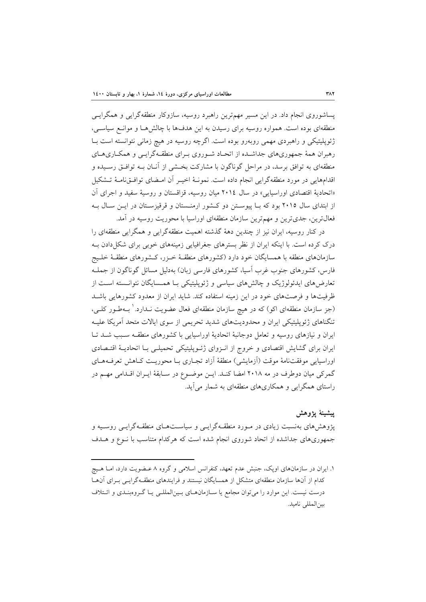پساشوروي انجام داد. در اين مسير مهمترين راهبرد روسيه، سازوكار منطقهگرايي و همگرايـي منطقهاي بوده است. همواره روسيه براي رسيدن به اين هدفها با چالشهـا و موانـع سياسـي، ژئوپليتيكي و راهبردي مهمي روبهرو بوده است. اگرچه روسيه در هيچ زماني نتوانسته است بـا رهبران همة جمهوريهاي جداشـده از اتحـاد شـوروي بـراي منطقـهگرايـي و همكـاريهـاي منطقهاي به توافق برسد، در مراحل گوناگون با مشاركت بخـشي از آنـان بـه توافـق رسـيده و اقدامهايي در مورد منطقهگرايي انجام داده است. نمونـة اخيـر آن امـضاي توافـقنامـة تـشكيل «اتحادية اقتصادي اوراسيايي» در سال 2014 ميان روسيه، قزاقستان و روسية سفيد و اجراي آن از ابتداي سال 2015 بود كه بـا پيوسـتن دو كـشور ارمنـستان و قرقيزسـتان در ايـن سـال بـه فعالترين، جديترين و مهمترين سازمان منطقهاي اوراسيا با محوريت روسيه در آمد.

در كنار روسيه، ايران نيز از چندين دهة گذشته اهميت منطقهگرايي و همگرايي منطقهاي را درك كرده است. با اينكه ايران از نظر بسترهاي جغرافيايي زمينههاي خوبي براي شكلدادن بـه سازمانهاي منطقه با همسايگان خود دارد (كشورهاي منطقـة خـزر، كـشورهاي منطقـة خلـيج فارس، كشورهاي جنوب غرب آسيا، كشورهاي فارسي زبان) بهدليل مسائل گوناگون از جملـه تعارضهاي ايدئولوژيك و چالشهاي سياسي و ژئوپليتيكي بـا همـسايگان نتوانـسته اسـت از ظرفيتها و فرصتهاي خود در اين زمينه استفاده كند. شايد ايران از معدود كشورهايي باشـد (جز سازمان منطقهاي اكو) كه در هيچ سازمان منطقهاي فعال عضويت نـدارد.' بــهطـور كلــي، تنگناهاي ژئوپليتيكي ايران و محدوديتهاي شديد تحريمي از سوي ايالات متحد آمريكا عليـه ايران و نيازهاي روسيه و تعامل دوجانبة اتحادية اوراسيايي با كشورهاي منطقـه سـبب شـد تـا ايران براي گشايش اقتصادي و خروج از انـزواي ژئـوپليتيكي تحميلـي بـا اتحاديـة اقتـصادي اوراسيايي موفقتنامة موقت (آزمايشي) منطقة آزاد تجـاري بـا محوريـت كـاهش تعرفـههـاي گمركي ميان دوطرف در مه 2018 امضا كنـد. ايـن موضـوع در سـابقة ايـران اقـدامي مهـم در راستاي همگرايي و همكاريهاي منطقهاي به شمار ميآيد.

## **پيشينة پژوهش**

پژوهشهاي بهنسبت زيادي در مـورد منطقـهگرايـي و سياسـتهـاي منطقـهگرايـي روسـيه و جمهوريهاي جداشده از اتحاد شوروي انجام شده است كه هركدام متناسب با نـوع و هـدف

<sup>.</sup>1 ايران در سازمانهاي اوپك، جنبش عدم تعهد، كنفرانس اسلامي و گروه 8 عـضويت دارد، امـا هـيچ كدام از آنها سازمان منطقهاي متشكل از همسايگان نيستند و فرايندهاي منطقـهگرايـي بـراي آنهـا درست نيست. اين موارد را ميتوان مجامع يا سـازمانهـاي بـينالمللـي يـا گـروهبنـدي و ائـتلاف بينالمللي ناميد.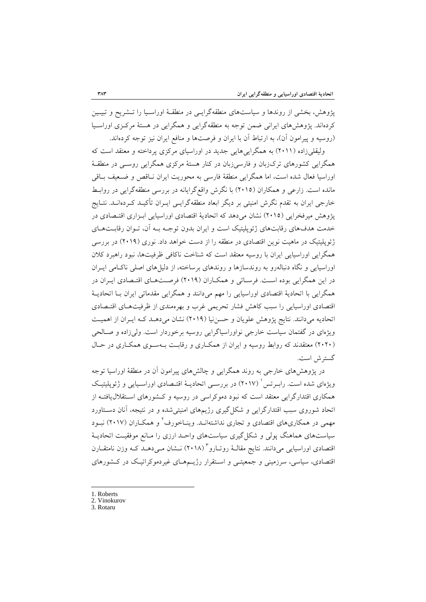پژوهش، بخشي از روندها و سياستهاي منطقهگرايـي در منطقـة اوراسـيا را تـشريح و تبيـين كردهاند. پژوهشهاي ايراني ضمن توجه به منطقهگرايي و همگرايي در هستة مركـزي اوراسـيا (روسيه و پيرامون آن)، به ارتباط آن با ايران و فرصتها و منافع ايران نيز توجه كردهاند.

وليقليزاده (2011) به همگراييهايي جديد در اوراسياي مركزي پرداخته و معتقد است كه همگرايي كشورهاي تركزبان و فارسيزبان در كنار هستة مركزي همگرايي روسـي در منطقـة اوراسيا فعال شده است، اما همگرايي منطقة فارسي به محوريت ايران نـاقص و ضـعيف بـاقي مانده است. زارعي و همكاران (2015) با نگرش واقعگرايانه در بررسي منطقهگرايي در روابـط خارجي ايران به تقدم نگرش امنيتي بر ديگر ابعاد منطقهگرايـي ايـران تأكيـد كـردهانـد. نتـايج پژوهش ميرفخرايي (2015) نشان ميدهد كه اتحادية اقتصادي اوراسيايي ابـزاري اقتـصادي در خدمت هدفهاي رقابتهاي ژئوپليتيك است و ايران بدون توجـه بـه آن، تـوان رقابـتهـاي ژئوپليتيك در ماهيت نوين اقتصادي در منطقه را از دست خواهد داد. نوري (2019) در بررسي همگرايي اوراسيايي ايران با روسيه معتقد است كه شناخت ناكافي ظرفيتها، نبود راهبرد كلان اوراسيايي و نگاه دنبالهرو به روندسازها و روندهاي برساخته، از دليلهاي اصلي ناكـامي ايـران در اين همگرايي بوده اسـت. فرسـائي و همكـاران (2019) فرصـتهـاي اقتـصادي ايـران در همگرايي با اتحادية اقتصادي اوراسيايي را مهم ميدانند و همگرايي مقدماتي ايران بـا اتحاديـة اقتصادي اوراسيايي را سبب كاهش فشار تحريمي غرب و بهرهمندي از ظرفيتهـاي اقتـصادي اتحاديه ميدانند. نتايج پژوهش علويان و حسننيا (2019) نشان ميدهـد كـه ايـران از اهميـت ويژهاي در گفتمان سياست خارجي نواوراسياگرايي روسيه برخوردار است. وليزاده و صـالحي (2020) معتقدند كه روابط روسيه و ايران از همكـاري و رقابـت بـهسـوي همكـاري در حـال گسترش است.

در پژوهشهاي خارجي به روند همگرايي و چالشهاي پيرامون آن در منطقة اوراسيا توجه ويژهاي شده است. رابـرتس ( ٢٠١٧) در بررسـي اتحاديــهٔ اقتـصادي اوراسـيايي و ژئوپليتيـک همكاري اقتدارگرايي معتقد است كه نبود دموكراسي در روسيه و كـشورهاي اسـتقلاليافتـه از اتحاد شوروي سبب اقتدارگرايي و شكلگيري رژيمهاي امنيتيشده و در نتيجه، آنان دسـتاورد مهمي در همكاري هاي اقتصادي و تجاري نداشتهانــد. وينــاخورف<sup>٢</sup> و همكــاران (٢٠١٧) نبـود سياستهاي هماهنگ پولي و شكلگيري سياستهاي واحـد ارزي را مـانع موفقيـت اتحاديـة اقتصادي اوراسيايي ميدانند. نتايج مقالــهٔ روتــارو " (٢٠١٨) نــشان مــي(هــد كــه وزن نامتقــارن اقتصادي، سياسي، سرزميني و جمعيتـي و اسـتقرار رژيـمهـاي غيردموكراتيـك در كـشورهاي

- 1. Roberts
- 2. Vinokurov
- 3. Rotaru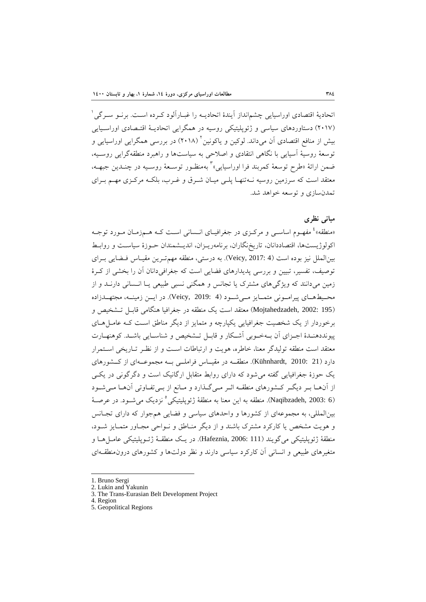1 اتحادية اقتصادي اوراسيايي چشمانداز آيندة اتحاديـه را غبـارآلود كـرده اسـت. برنـو سـرگي (2017) دستاوردهاي سياسي و ژئوپليتيكي روسيه در همگرايي اتحاديـة اقتـصادي اوراسـيايي بيش از منافع اقتصادي اّن مي داند. لوكين و ياكونين ` (٢٠١٨) در بررسي همگرايي اوراسيايي و توسعة روسية آسيايي با نگاهي انتقادي و اصلاحي به سياستها و راهبرد منطقهگرايي روسـيه، ضمن ارائهٔ «طرح توسعهٔ کمربند فرا اوراسیایی» ٌ بهمنظـور توســعهٔ روســیه در چنــدین جبهــه، معتقد است كه سرزمين روسيه نـهتنهـا پلـي ميـان شـرق و غـرب، بلكـه مركـزي مهـم بـراي تمدنسازي و توسعه خواهد شد.

## **مباني نظري**

«منطقه» ٔ مفهـوم اساســي و مركــزي در جغرافيــاي انــساني اســت كــه هــمزمــان مــورد توجــه اكولوژيستها، اقتصاددانان، تاريخنگاران، برنامهريـزان، انديـشمندان حـوزة سياسـت و روابـط بينالملل نيز بوده است (4 2017: ,Veicy(. به درستي، منطقه مهمتـرين مقيـاس فـضايي بـراي توصيف، تفسير، تبيين و بررسي پديدارهاي فضايي است كه جغرافيدانان آن را بخشي از كـرة زمين ميدانند كه ويژگيهاي مشترك يا تجانس و همگني نسبي طبيعي يـا انـساني دارنـد و از محــيطهــاي پيرامــوني متمــايز مــيشــود (4 2019: ,Veicy(. در ايــن زمينــه، مجتهــدزاده (195 2002: ,Mojtahedzadeh (معتقد است يك منطقه در جغرافيا هنگامي قابـل تـشخيص و برخوردار از يك شخصيت جغرافيايي يكپارچه و متمايز از ديگر مناطق اسـت كـه عامـلهـاي پيونددهنـدة اجـزاي آن بـهخـوبي آشـكار و قابـل تـشخيص و شناسـايي باشـد. كوهنهـارت معتقد است منطقه توليدگر معنا، خاطره، هويت و ارتباطات اسـت و از نظـر تـاريخي اسـتمرار دارد (21 2010: ,Kühnhardt(. منطقــه در مقيــاس فراملــي بــه مجموعــهاي از كــشورهاي يك حوزة جغرافيايي گفته ميشود كه داراي روابط متقابل ارگانيك است و دگرگوني در يكـي از آنهـا بـر ديگـر كـشورهاي منطقـه اثـر مـيگـذارد و مـانع از بـيتفـاوتي آنهـا مـيشـود نزديك ميشـود. در عرصـة <sup>5</sup> (6 2003: ,Naqibzadeh(. منطقه به اين معنا به منطقة ژئوپليتيكي بينالمللي، به مجموعهاي از كشورها و واحدهاي سياسي و فضايي همجوار كه داراي تجـانس و هويت مشخص يا كاركرد مشترك باشند و از ديگر منـاطق و نـواحي مجـاور متمـايز شـود، منطقة ژئوپليتيكي ميگويند (111 2006: ,Hafeznia(. در يـك منطقـة ژئـوپليتيكي عامـلهـا و متغيرهاي طبيعي و انساني آن كاركرد سياسي دارند و نظر دولتها و كشورهاي درونمنطقـهاي

- 1. Bruno Sergi
- 2. Lukin and Yakunin
- 3. The Trans-Eurasian Belt Development Project

- 4. Region
- 5. Geopolitical Regions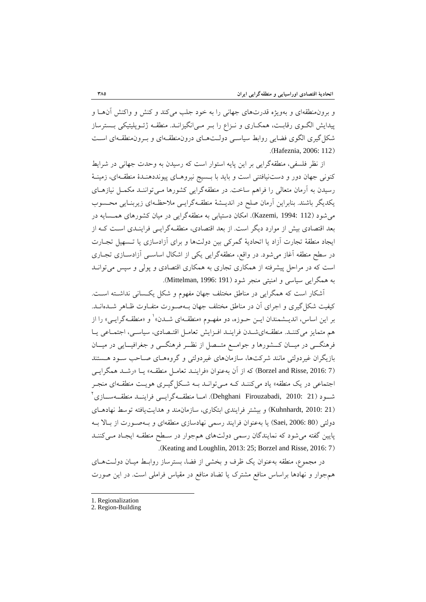و برونمنطقهاي و بهويژه قدرتهاي جهاني را به خود جلب ميكند و كنش و واكنش آنهـا و پيدايش الگـوي رقابـت، همكـاري و نـزاع را بـر مـيانگيزانـد. منطقـه ژئـوپليتيكي بـسترساز شكلگيري الگوي فضايي روابط سياسـي دولـتهـاي درونمنطقـهاي و بـرونمنطقـهاي اسـت .(Hafeznia, 2006: 112)

از نظر فلسفي، منطقهگرايي بر اين پايه استوار است كه رسيدن به وحدت جهاني در شرايط كنوني جهان دور و دستنيافتني است و بايد با بـسيج نيروهـاي پيونددهنـدة منطقـهاي، زمينـة رسيدن به آرمان متعالي را فراهم ساخت. در منطقهگرايي كشورها مـيتواننـد مكمـل نيازهـاي يكديگر باشند. بنابراين آرمان صلح در انديـشة منطقـهگرايـي ملاحظـهاي زيربنـايي محـسوب ميشود (112 1994: ,Kazemi(. امكان دستيابي به منطقهگرايي در ميان كشورهاي همـسايه در بعد اقتصادي بيش از موارد ديگر است. از بعد اقتصادي، منطقـهگرايـي فراينـدي اسـت كـه از ايجاد منطقة تجارت آزاد يا اتحادية گمركي بين دولتها و براي آزادسازي يا تـسهيل تجـارت در سطح منطقه آغاز ميشود. در واقع، منطقهگرايي يكي از اشكال اساسـي آزادسـازي تجـاري است كه در مراحل پيشرفته از همكاري تجاري به همكاري اقتصادي و پولي و سپس ميتوانـد به همگرايي سياسي و امنيتي منجر شود (191 :Mittelman, 1996).

آشكار است كه همگرايي در مناطق مختلف جهان مفهوم و شكل يكـساني نداشـته اسـت. كيفيت شكلگيري و اجراي آن در مناطق مختلف جهان بـهصـورت متفـاوت ظـاهر شـدهانـد. بر اين اساس، انديــشمندان ايــن حــوزه، دو مفهــوم «منطقــهاي شــدن» <sup>۱</sup> و «منطقــهگرايــي» را از هم متمايز ميكننـد. منطقـهايشـدن فراينـد افـزايش تعامـل اقتـصادي، سياسـي، اجتمـاعي يـا فرهنگــي در ميــان كــشورها و جوامــع متــصل از نظــر فرهنگــي و جغرافيــايي در ميــان بازيگران غيردولتي مانند شركتها، سازمانهاي غيردولتي و گروههـاي صـاحب سـود هـستند (7 :Borzel and Risse, 2016) كه از آن بهعنوان «فراينـد تعامـل منطقـه» يـا «رشـد همگرايـي اجتماعي در يک منطقه» ياد ميکننـد کـه مـي توانـد بـه شـکل گيـري هويـت منطقـهاي منجـر  $^{\backprime}$  شــود (21  $210$ . Pehghani Firouzabadi,  $2010$ : امــا منطقــه $\ell$ اري $\ell$ (21 2010: ,Kuhnhardt (و بيشتر فرايندي ابتكاري، سازمانمند و هدايتيافته توسط نهادهـاي دولتي (80 2006: ,Saei (يا بهعنوان فرايند رسمي نهادسازي منطقهاي و بـهصـورت از بـالا بـه پايين گفته ميشود كه نمايندگان رسمي دولتهاي همجوار در سـطح منطقـه ايجـاد مـيكننـد .(Keating and Loughlin, 2013: 25; Borzel and Risse, 2016: 7)

در مجموع، منطقه بهعنوان يك ظرف و بخشي از فضا، بسترساز روابـط ميـان دولـتهـاي همجوار و نهادها براساس منافع مشترك يا تضاد منافع در مقياس فراملي است. در اين صورت

<sup>1.</sup> Regionalization

<sup>2.</sup> Region-Building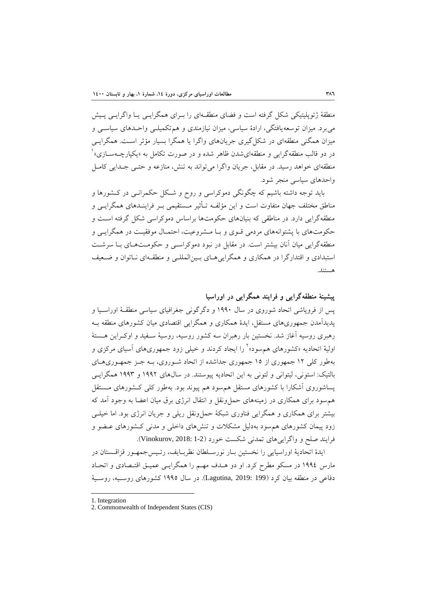منطقة ژئوپليتيكي شكل گرفته است و فضاي منطقـهاي را بـراي همگرايـي يـا واگرايـي پـيش ميبرد. ميزان توسعهيافتگي، ارادة سياسي، ميزان نيازمندي و همتكميلـي واحـدهاي سياسـي و ميزان همگني منطقهاي در شكل گيري جريانهاي واگرا يا همگرا بسيار مؤثر اسـت. همگرايـي 1 در دو قالب منطقهگرايي و منطقهايشدن ظاهر شده و در صورت تكامل به «يكپارچـهسـازي» منطقهاي خواهد رسيد. در مقابل، جريان واگرا ميتواند به تنش، منازعه و حتـي جـدايي كامـل واحدهاي سياسي منجر شود.

بايد توجه داشته باشيم كه چگونگي دموكراسي و روح و شـكل حكمرانـي در كـشورها و مناطق مختلف جهان متفاوت است و اين مؤلفـه تـأثير مـستقيمي بـر فراينـدهاي همگرايـي و منطقهگرايي دارد. در مناطقي كه بنيانهاي حكومتها براساس دموكراسي شكل گرفته اسـت و حكومتهاي با پشتوانههاي مردمي قـوي و بـا مـشروعيت، احتمـال موفقيـت در همگرايـي و منطقهگرايي ميان آنان بيشتر است. در مقابل در نبود دموكراسـي و حكومـتهـاي بـا سرشـت استبدادي و اقتدارگرا در همكاري و همگراييهـاي بـينالمللـي و منطقـهاي نـاتوان و ضـعيف هستند.

**پيشينة منطقهگرايي و فرايند همگرايي در اوراسيا**  پس از فروپاشي اتحاد شوروي در سال 1990 و دگرگوني جغرافياي سياسي منطقـة اوراسـيا و پديدآمدن جمهوريهاي مستقل، ايدة همكاري و همگرايي اقتصادي ميان كشورهاي منطقه بـه رهبري روسيه آغاز شد. نخستين بار رهبران سه كشور روسيه، روسية سـفيد و اوكـراين هـستة اوليهٔ اتحاديه «كشورهاي هم سود»<sup>۲</sup> را ايجاد كردند و خيلي زود جمهوريهاي آسياي مركزي و بهطور كلي 12 جمهوري از 15 جمهوري جداشده از اتحاد شـوروي، بـه جـز جمهـوريهـاي بالتيك: استوني، ليتواني و لتوني به اين اتحاديه پيوستند. در سالهاي 1992 و 1993 همگرايـي پساشوروي آشكارا با كشورهاي مستقل همسود هم پيوند بود. بهطور كلي كـشورهاي مـستقل همسود براي همكاري در زمينههاي حملونقل و انتقال انرژي برق ميان اعضا به وجود آمد كه بيشتر براي همكاري و همگرايي فناوري شبكة حملونقل ريلي و جريان انرژي بود. اما خيلـي زود پيمان كشورهاي همسود بهدليل مشكلات و تنشهاي داخلي و مدني كـشورهاي عـضو و فرايند صلح و واگرايي هاي تمدني شكست خورد (Vinokurov, 2018: 1-2).

ايدة اتحادية اوراسيايي را نخستين بـار نورسـلطان نظربـايف، رئـيسجمهـور قزاقـستان در مارس 1994 در مسكو مطرح كرد. او دو هـدف مهـم را همگرايـي عميـق اقتـصادي و اتحـاد دفاعي در منطقه بيان كرد (199 2019: ,Lagutina(. در سال 1995 كشورهاي روسـيه، روسـية

<sup>1.</sup> Integration

<sup>2.</sup> Commonwealth of Independent States (CIS)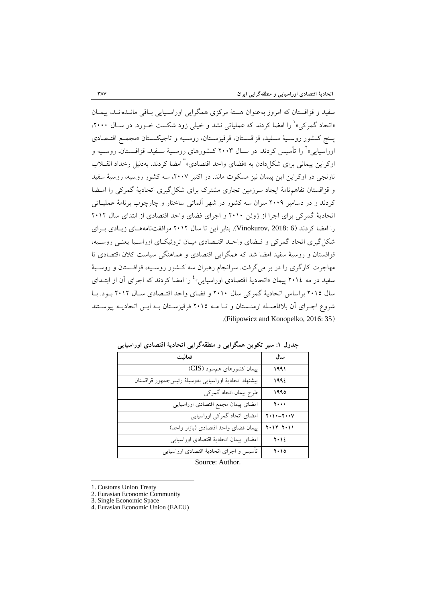سفيد و قزاقستان كه امروز بهعنوان هستة مركزي همگرايي اوراسـيايي بـاقي مانـدهانـد، پيمـان «اتحاد گمركي» را امضا كردند كه عملياتي نشد و خيلي زود شكست خـورد. در سـال ۲۰۰۰، پـنج كـشور روسـية سـفيد، قزاقـستان، قرقيزسـتان، روسـيه و تاجيكـستان «مجمـع اقتـصادي اوراسيايي»<sup>۲</sup> را تأسيس كردند. در سـال ۲۰۰۳ كـشورهاي روسـيهٔ سـفيد، قزاقــستان، روسـيه و اوكراين پيماني براي شكل دادن به «فضاي واحد اقتصادي» ٌ امضا كردند. به دليل رخداد انقــلاب نارنجي در اوكراين اين پيمان نيز مسكوت ماند. در اكتبر ،2007 سه كشور روسيه، روسية سفيد و قزاقستان تفاهمنامة ايجاد سرزمين تجاري مشترك براي شكلگيري اتحادية گمركي را امـضا كردند و در دسامبر 2009 سران سه كشور در شهر آلماتي ساختار و چارچوب برنامة عمليـاتي اتحادية گمركي براي اجرا از ژوئن 2010 و اجراي فضاي واحد اقتصادي از ابتداي سال 2012 را امضا كردند (6 2018: ,Vinokurov(. بنابر اين تا سال 2012 موافقتنامههـاي زيـادي بـراي شكلگيري اتحاد گمركي و فـضاي واحـد اقتـصادي ميـان تروئيكـاي اوراسـيا يعنـي روسـيه، قزاقستان و روسية سفيد امضا شد كه همگرايي اقتصادي و هماهنگي سياست كلان اقتصادي تا مهاجرت كارگري را در بر ميگرفت. سرانجام رهبران سه كـشور روسـيه، قزاقـستان و روسـية سفيد در مه ٢٠١٤ پيمان «اتحاديهٔ اقتصادي اوراسيايي» ٔ را امضا کردند که اجراي آن از ابتــداي سال 2015 براساس اتحادية گمركي سال 2010 و فضاي واحد اقتـصادي سـال 2012 بـود. بـا شروع اجـراي آن بلافاصـله ارمنـستان و تـا مـه 2015 قرقيزسـتان بـه ايـن اتحاديـه پيوسـتند .(Filipowicz and Konopelko, 2016: 35)

| فعاليت                                                 | سال                           |
|--------------------------------------------------------|-------------------------------|
| پیمان کشورهای هم سود (CIS)                             | ۱۹۹۱                          |
| پیشنهاد اتحادیهٔ اوراسیایی بهوسیلهٔ رئیسجمهور قزاقستان | ۱۹۹٤                          |
| طرح پیمان اتحاد گمرکی                                  | ۱۹۹٥                          |
| امضاى پيمان مجمع اقتصادى اوراسيايى                     | 7                             |
| امضای اتحاد گمرکی اوراسیایی                            | $Y \cdot Y \cdot - Y \cdot Y$ |
| پيمان فضاي واحد اقتصادي (بازار واحد)                   | $Y \cdot Y - Y \cdot Y$       |
| امضاى پيمان اتحادية اقتصادى اوراسيايى                  | $Y \cdot Y$                   |
| تأسيس و اجراى اتحاديهٔ اقتصادى اوراسيايى               | ۲۰۱٥                          |
|                                                        |                               |

**جدول :1 سير تكوين همگرايي و منطقهگرايي اتحادية اقتصادي اوراسيايي** 

Source: Author.

<sup>1.</sup> Customs Union Treaty

<sup>2.</sup> Eurasian Economic Community

<sup>3.</sup> Single Economic Space

<sup>4.</sup> Eurasian Economic Union (EAEU)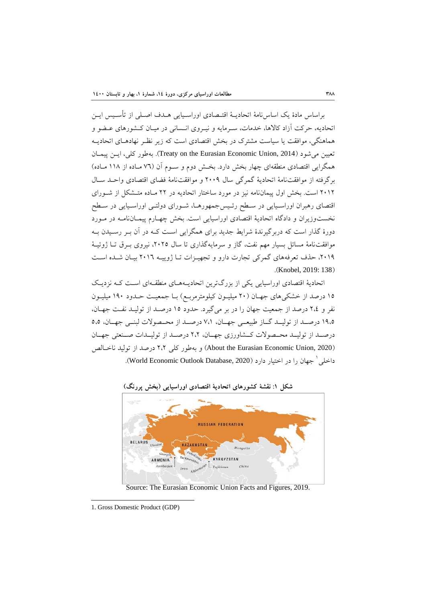براساس مادة يك اساسنامة اتحاديـة اقتـصادي اوراسـيايي هـدف اصـلي از تأسـيس ايـن اتحاديه، حركت آزاد كالاها، خدمات، سـرمايه و نيـروي انـساني در ميـان كـشورهاي عـضو و هماهنگي، موافقت يا سياست مشترك در بخش اقتصادي است كه زير نظـر نهادهـاي اتحاديـه تعيين ميشود (2014 ,Union Economic Eurasian the on Treaty(. بهطور كلي، ايـن پيمـان همگرايي اقتصادي منطقهاي چهار بخش دارد. بخـش دوم و سـوم آن (76 مـاده از 118 مـاده) برگرفته از موافقتنامة اتحادية گمرگي سال 2009 و موافقتنامة فضاي اقتصادي واحـد سـال 2012 است. بخش اول پيماننامه نيز در مورد ساختار اتحاديه در 22 مـاده متـشكل از شـوراي اقتصاي رهبران اوراسـيايي در سـطح رئـيسجمهورهـا، شـوراي دولتـي اوراسـيايي در سـطح نخستوزيران و دادگاه اتحادية اقتصادي اوراسيايي است. بخش چهـارم پيمـاننامـه در مـورد دورة گذار است كه دربرگيرندة شرايط جديد براي همگرايي اسـت كـه در آن بـر رسـيدن بـه موافقتنامة مسائل بسيار مهم نفت، گاز و سرمايهگذاري تا سال ،2025 نيروي بـرق تـا ژوئيـة ،2019 حذف تعرفههاي گمركي تجارت دارو و تجهيـزات تـا ژوييـه 2016 بيـان شـده اسـت .(Knobel, 2019: 138)

اتحادية اقتصادي اوراسيايي يكي از بزرگترين اتحاديـههـاي منطقـهاي اسـت كـه نزديـك 15 درصد از خشكيهاي جهـان (20 ميليـون كيلومترمربـع) بـا جمعيـت حـدود 190 ميليـون نفر و 2،4 درصد از جمعيت جهان را در بر ميگيرد. حدود 15 درصـد از توليـد نفـت جهـان، 19،5 درصــد از توليــد گــاز طبيعــي جهــان، 7،1 درصــد از محــصولات لبنــي جهــان، 5،5 درصــد از توليــد محــصولات كــشاورزي جهــان، 2،2 درصــد از توليــدات صــنعتي جهــان (2020 ,Union Economic Eurasian the About (و بهطور كلي 2،2 درصد از توليد ناخـالص جهان را در اختيار دارد (2020 ,Database Outlook Economic World(. <sup>1</sup> داخلي



Source: The Eurasian Economic Union Facts and Figures, 2019.

<sup>1.</sup> Gross Domestic Product (GDP)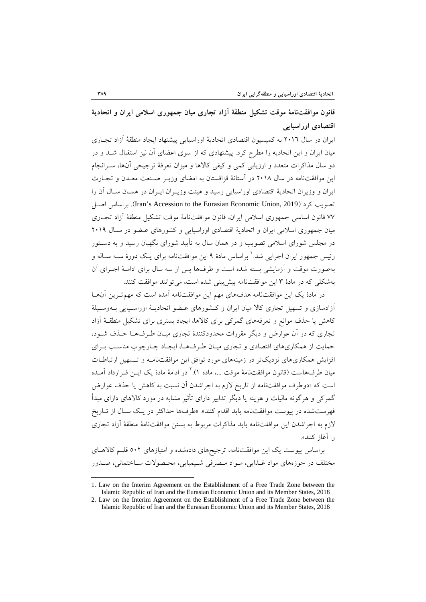# **قانون موافقتنامة موقت تشكيل منطقة آزاد تجاري ميان جمهوري اسلامي ايران و اتحادية اقتصادي اوراسيايي**

ايران در سال 2016 به كميسيون اقتصادي اتحادية اوراسيايي پيشنهاد ايجاد منطقة آزاد تجـاري ميان ايران و اين اتحاديه را مطرح كرد. پيشنهادي كه از سوي اعضاي آن نيز استقبال شـد و در دو سال مذاكرات متعدد و ارزيابي كمي و كيفي كالاها و ميزان تعرفة ترجيحي آنها، سـرانجام اين موافقتنامه در سال 2018 در آستانة قزاقستان به امضاي وزيـر صـنعت معـدن و تجـارت ايران و وزيران اتحادية اقتصادي اوراسيايي رسيد و هيئت وزيـران ايـران در همـان سـال آن را اصـل براساس .)Iran's Accession to the Eurasian Economic Union, 2019) كرد تصويب 77 قانون اساسي جمهوري اسلامي ايران، قانون موافقتنامة موقت تشكيل منطقة آزاد تجـاري ميان جمهوري اسلامي ايران و اتحادية اقتصادي اوراسيايي و كشورهاي عـضو در سـال 2019 در مجلس شوراي اسلامي تصويب و در همان سال به تأييد شوراي نگهبان رسيد و به دسـتور رئيس جمهور ايران اجرايي شد.' براساس مادهٔ ۹ اين موافقتنامه براي يـك دورهٔ سـه سـاله و بهصورت موقت و آزمايشي بسته شده است و طرفها پس از سه سال براي ادامـة اجـراي آن بهشكلي كه در مادة 3 اين موافقتنامه پيشبيني شده است، ميتوانند موافقت كنند.

در مادة يك اين موافقتنامه هدفهاي مهم اين موافقتنامه آمده است كه مهمتـرين آنهـا آزادسازي و تسهيل تجاري كالا ميان ايران و كـشورهاي عـضو اتحاديـة اوراسـيايي بـهوسـيلة كاهش يا حذف موانع و تعرفههاي گمركي براي كالاها، ايجاد بستري براي تشكيل منطقـة آزاد تجاري كه در آن عوارض و ديگر مقررات محدودكنندة تجاري ميـان طـرفهـا حـذف شـود، حمايت از همكاريهاي اقتصادي و تجاري ميـان طـرفهـا، ايجـاد چـارچوب مناسـب بـراي افزايش همكاريهاي نزديكتر در زمينههاي مورد توافق اين موافقتنامـه و تـسهيل ارتباطـات ميان طرف&است (قانون موافقتنامهٔ موقت …، ماده ۱).<sup>۲</sup> در ادامهٔ مادهٔ یک ایـن قـرارداد آمـده است كه «دوطرف موافقتنامه از تاريخ لازم به اجراشدن آن نسبت به كاهش يا حذف عوارض گمركي و هرگونه ماليات و هزينه يا ديگر تدابير داراي تأثير مشابه در مورد كالاهاي داراي مبدأ فهرستشده در پيوست موافقتنامه بايد اقدام كنند». «طرفها حداكثر در يـك سـال از تـاريخ لازم به اجراشدن اين موافقتنامه بايد مذاكرات مربوط به بستن موافقتنامة منطقة آزاد تجاري را آغاز كنند».

براساس پيوست يك اين موافقتنامه، ترجيحهاي دادهشده و امتيازهاي 502 قلـم كالاهـاي مختلف در حوزههاي مواد غـذايي، مـواد مـصرفي شـيميايي، محـصولات سـاختماني، صـدور

<sup>1.</sup> Law on the Interim Agreement on the Establishment of a Free Trade Zone between the Islamic Republic of Iran and the Eurasian Economic Union and its Member States, 2018

<sup>2.</sup> Law on the Interim Agreement on the Establishment of a Free Trade Zone between the Islamic Republic of Iran and the Eurasian Economic Union and its Member States, 2018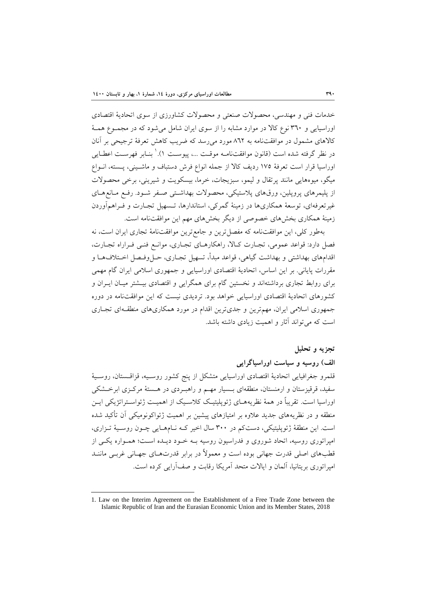خدمات فني و مهندسي، محصولات صنعتي و محصولات كشاورزي از سوي اتحادية اقتصادي اوراسيايي و 360 نوع كالا در موارد مشابه را از سوي ايران شامل ميشود كه در مجمـوع همـة كالاهاي مشمول در موافقتنامه به 862 مورد ميرسد كه ضريب كاهش تعرفة ترجيحي بر آنان در نظر گرفته شده است (قانون موافقتنامـه موقـت ...، پيوسـت ۱).' بنـابر فهرسـت اعطـايي اوراسيا قرار است تعرفة 175 رديف كالا از جمله انواع فرش دستباف و ماشـيني، پـسته، انـواع ميگو، ميوههايي مانند پرتقال و ليمو، سبزيجات، خرما، بيسكويت و شيريني، برخي محصولات از پليمرهاي پروپلين، ورقهاي پلاستيكي، محصولات بهداشـتي صـفر شـود. رفـع مـانعهـاي غيرتعرفهاي، توسعة همكاريها در زمينة گمركي، استاندارها، تـسهيل تجـارت و فـراهمآوردن زمينة همكاري بخشهاي خصوصي از ديگر بخشهاي مهم اين موافقتنامه است.

بهطور كلي، اين موافقتنامه كه مفصلترين و جامعترين موافقتنامة تجاري ايران است، نه فصل دارد: قواعد عمومي، تجـارت كـالا، راهكارهـاي تجـاري، موانـع فنـي فـراراه تجـارت، اقدامهاي بهداشتي و بهداشت گياهي، قواعد مبدأ، تسهيل تجـاري، حـل وفـصل اخـتلافـهـا و مقررات پاياني. بر اين اساس، اتحادية اقتصادي اوراسيايي و جمهوري اسلامي ايران گام مهمي براي روابط تجاري برداشتهاند و نخستين گام براي همگرايي و اقتصادي بيـشتر ميـان ايـران و كشورهاي اتحادية اقتصادي اوراسيايي خواهد بود. ترديدي نيست كه اين موافقتنامه در دوره جمهوري اسلامي ايران، مهمترين و جديترين اقدام در مورد همكاريهاي منطقـهاي تجـاري است كه ميتواند آثار و اهميت زيادي داشته باشد.

### **تجزيه و تحليل**

**الف) روسيه و سياست اوراسياگرايي** 

قلمرو جغرافيايي اتحادية اقتصادي اوراسيايي متشكل از پنج كشور روسـيه، قزاقـستان، روسـية سفيد، قرقيزستان و ارمنستان، منطقهاي بـسيار مهـم و راهبـردي در هـستة مركـزي ابرخـشكي اوراسيا است. تقريباً در همة نظريههـاي ژئوپليتيـك كلاسـيك از اهميـت ژئواسـتراتژيكي ايـن منطقه و در نظريههاي جديد علاوه بر امتيازهاي پيشين بر اهميت ژئواكونوميكي آن تأكيد شده است. اين منطقة ژئوپليتيكي، دستكم در 300 سال اخير كـه نـامهـايي چـون روسـية تـزاري، امپراتوري روسيه، اتحاد شوروي و فدراسيون روسيه بـه خـود ديـده اسـت؛ همـواره يكـي از قطبهاي اصلي قدرت جهاني بوده است و معمولاً در برابر قدرتهـاي جهـاني غربـي ماننـد امپراتوري بريتانيا، آلمان و ايالات متحد آمريكا رقابت و صفآرايي كرده است.

<sup>1.</sup> Law on the Interim Agreement on the Establishment of a Free Trade Zone between the Islamic Republic of Iran and the Eurasian Economic Union and its Member States, 2018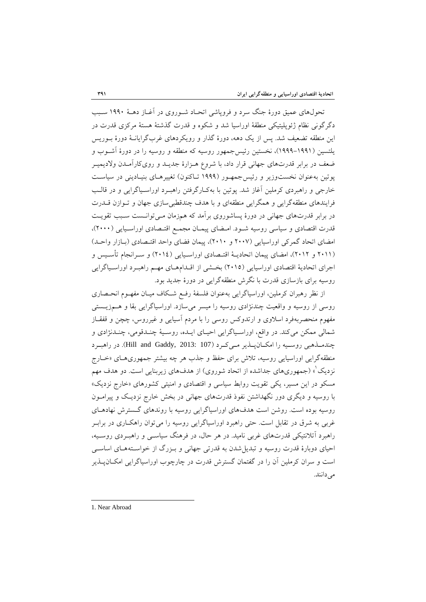تحولهاي عميق دورة جنگ سرد و فروپاشي اتحـاد شـوروي در آغـاز دهـة 1990 سـبب دگرگوني نظام ژئوپليتيكي منطقة اوراسيا شد و شكوه و قدرت گذشتة هستة مركزي قدرت در اين منطقه تضعيف شد. پس از يك دهه، دورة گذار و رويكردهاي غربگرايانـة دورة بـوريس يلتسين (1999-1991)، نخستين رئيسجمهور روسيه كه منطقه و روسيه را در دورة آشـوب و ضعف در برابر قدرتهاي جهاني قرار داد، با شروع هـزارة جديـد و رويكارآمـدن ولاديميـر پوتين بهعنوان نخستوزير و رئيسجمهـور (1999 تـاكنون) تغييرهـاي بنيـاديني در سياسـت خارجي و راهبردي كرملين آغاز شد. پوتين با بهكـارگرفتن راهبـرد اوراسـياگرايي و در قالـب فرايندهاي منطقهگرايي و همگرايي منطقهاي و با هدف چندقطبيسازي جهان و تـوازن قـدرت در برابر قدرتهاي جهاني در دورة پساشوروي برآمد كه همزمان مـيتوانـست سـبب تقويـت قدرت اقتصادي و سياسي روسيه شـود. امـضاي پيمـان مجمـع اقتـصادي اوراسـيايي (2000)، امضاي اتحاد گمركي اوراسيايي (2007 و 2010)، پيمان فضاي واحد اقتـصادي (بـازار واحـد) (2011 و 2012)، امضاي پيمان اتحاديـة اقتـصادي اوراسـيايي (2014) و سـرانجام تأسـيس و اجراي اتحادية اقتصادي اوراسيايي (2015) بخـشي از اقـدامهـاي مهـم راهبـرد اوراسـياگرايي روسيه براي بازسازي قدرت با نگرش منطقهگرايي در دورة جديد بود.

از نظر رهبران كرملين، اوراسياگرايي بهعنوان فلسفة رفـع شـكاف ميـان مفهـوم انحـصاري روسي از روسيه و واقعيت چندنژادي روسيه را ميسر ميسازد. اوراسياگرايي بقا و هـمزيـستي مفهوم منحصربهفرد اسلاوي و ارتدوكس روسي را با مردم آسيايي و غيرروس، چچن و قفقـاز شمالي ممكن ميكند. در واقع، اوراسـياگرايي احيـاي ايـده، روسـية چنـدقومي، چنـدنژادي و چندمـذهبي روسـيه را امكـانپـذير مـيكـرد (107 2013: ,Gaddy and Hill(. در راهبـرد منطقهگرايي اوراسيايي روسيه، تلاش براي حفظ و جذب هر چه بيشتر جمهوريهـاي «خـارج نزديک ْ» (جمهوريهاي جداشده از اتحاد شوروي) از هدفهاي زيربنايي است. دو هدف مهم مسكو در اين مسير، يكي تقويت روابط سياسي و اقتصادي و امنيتي كشورهاي «خارج نزديك» با روسيه و ديگري دور نگهداشتن نفوذ قدرتهاي جهاني در بخش خارج نزديـك و پيرامـون روسيه بوده است. روشن است هدفهاي اوراسياگرايي روسيه با روندهاي گـسترش نهادهـاي غربي به شرق در تقابل است. حتي راهبرد اوراسياگرايي روسيه را ميتوان راهكـاري در برابـر راهبرد آتلانتيكي قدرتهاي غربي ناميد. در هر حال، در فرهنگ سياسـي و راهبـردي روسـيه، احياي دوبارة قدرت روسيه و تبديلشدن به قدرتي جهاني و بـزرگ از خواسـتههـاي اساسـي است و سران كرملين آن را در گفتمان گسترش قدرت در چارچوب اوراسياگرايي امكـانپـذير مي دانند.

1. Near Abroad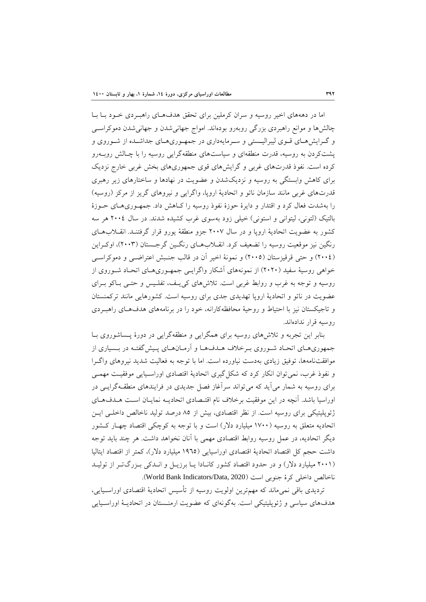اما در دهههاي اخير روسيه و سران كرملين براي تحقق هدفهـاي راهبـردي خـود بـا بـا چالشها و موانع راهبردي بزرگي روبهرو بودهاند. امواج جهانيشدن و جهانيشدن دموكراسـي و گـرايشهـاي قـوي ليبراليـستي و سـرمايهداري در جمهـوريهـاي جداشـده از شـوروي و پشتكردن به روسيه، قدرت منطقهاي و سياستهاي منطقهگرايي روسيه را با چـالش روبـهرو كرده است. نفوذ قدرتهاي غربي و گرايشهاي قوي جمهوريهاي بخش غربي خارج نزديك براي كاهش وابستگي به روسيه و نزديكشدن و عضويت در نهادها و ساختارهاي زير رهبري قدرتهاي غربي مانند سازمان ناتو و اتحادية اروپا، واگرايي و نيروهاي گريز از مركز (روسيه) را بهشدت فعال كرد و اقتدار و دايرة حوزة نفوذ روسيه را كـاهش داد. جمهـوريهـاي حـوزة بالتيك (لتوني، ليتواني و استوني) خيلي زود بهسوي غرب كشيده شدند. در سال 2004 هر سه كشور به عضويت اتحادية اروپا و در سال 2007 جزو منطقة يورو قرار گرفتنـد. انقـلابهـاي رنگين نيز موقعيت روسيه را تضعيف كرد. انقـلابهـاي رنگـين گرجـستان (2003)، اوكـراين (2004) و حتي قرقيزستان (2005) و نمونة اخير آن در قالب جنـبش اعتراضـي و دموكراسـي خواهي روسية سفيد (2020) از نمونههاي آشكار واگرايـي جمهـوريهـاي اتحـاد شـوروي از روسيه و توجه به غرب و روابط غربي است. تلاشهاي كييـف، تفلـيس و حتـي بـاكو بـراي عضويت در ناتو و اتحادية اروپا تهديدي جدي براي روسيه است. كشورهايي مانند تركمنستان و تاجيكستان نيز با احتياط و روحية محافظهكارانه، خود را در برنامههاي هدفهـاي راهبـردي روسيه قرار ندادهاند.

بنابر اين تجربه و تلاشهاي روسيه براي همگرايي و منطقهگرايي در دورة پـساشوروي بـا جمهوريهـاي اتحـاد شـوروي بـرخلاف هـدفهـا و آرمـانهـاي پـيشگفتـه در بـسياري از موافقتنامهها، توفيق زيادي بهدست نياورده است. اما با توجه به فعاليت شديد نيروهاي واگـرا و نفوذ غرب، نميتوان انكار كرد كه شكلگيري اتحادية اقتصادي اوراسـيايي موفقيـت مهمـي براي روسيه به شمار ميآيد كه ميتواند سرآغاز فصل جديدي در فرايندهاي منطقـهگرايـي در اوراسيا باشد. آنچه در اين موفقيت برخلاف نام اقتـصادي اتحاديـه نمايـان اسـت هـدفهـاي ژئوپليتيكي براي روسيه است. از نظر اقتصادي، بيش از 85 درصد توليد ناخالص داخلـي ايـن اتحاديه متعلق به روسيه (1700 ميليارد دلار) است و با توجه به كوچكي اقتصاد چهـار كـشور ديگر اتحاديه، در عمل روسيه روابط اقتصادي مهمي با آنان نخواهد داشت. هر چند بايد توجه داشت حجم كل اقتصاد اتحادية اقتصادي اوراسيايي (1965 ميليارد دلار)، كمتر از اقتصاد ايتاليا (2001 ميليارد دلار) و در حدود اقتصاد كشور كانـادا يـا برزيـل و انـدكي بـزرگتـر از توليـد ناخالص داخلي كرة جنوبي است (World Bank Indicators/Data, 2020).

ترديدي باقي نميماند كه مهمترين اولويت روسيه از تأسيس اتحادية اقتصادي اوراسـيايي، هدفهاي سياسي و ژئوپليتيكي است. بهگونهاي كه عضويت ارمنـستان در اتحاديـة اوراسـيايي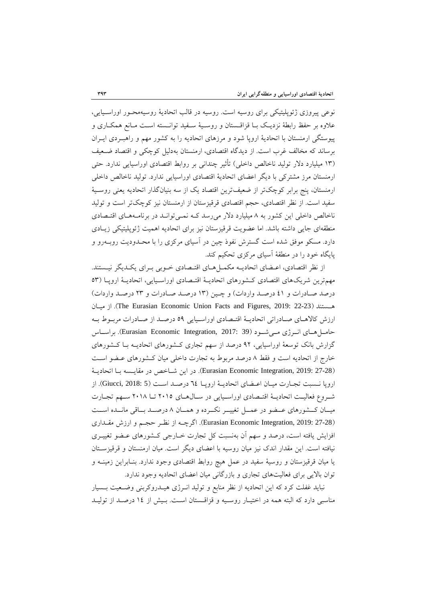نوعي پيروزي ژئوپليتيكي براي روسيه است. روسيه در قالب اتحادية روسيهمحـور اوراسـيايي، علاوه بر حفظ رابطة نزديـك بـا قزاقـستان و روسـية سـفيد توانـسته اسـت مـانع همكـاري و پيوستگي ارمنستان با اتحادية اروپا شود و مرزهاي اتحاديه را به كشور مهم و راهبـردي ايـران برساند كه مخالف غرب است. از ديدگاه اقتصادي، ارمنستان بهدليل كوچكي و اقتصاد ضـعيف (13 ميليارد دلار توليد ناخالص داخلي) تأثير چنداني بر روابط اقتصادي اوراسيايي ندارد. حتي ارمنستان مرز مشتركي با ديگر اعضاي اتحادية اقتصادي اوراسيايي ندارد. توليد ناخالص داخلي ارمنستان، پنج برابر كوچكتر از ضعيفترين اقتصاد يك از سه بنيانگذار اتحاديه يعني روسـية سفيد است. از نظر اقتصادي، حجم اقتصادي قرقيزستان از ارمنستان نيز كوچكتر است و توليد ناخالص داخلي اين كشور به ٨ ميليارد دلار مي رسد كـه نمـي توانـد در برنامـههـاي اقتـصادي منطقهاي جايي داشته باشد. اما عضويت قرقيزستان نيز براي اتحاديه اهميت ژئوپليتيكي زيـادي دارد. مسكو موفق شده است گسترش نفوذ چين در آسياي مركزي را با محـدوديت روبـهرو و پايگاه خود را در منطقة آسياي مركزي تحكيم كند.

از نظر اقتصادي، اعـضاي اتحاديـه مكمـلهـاي اقتـصادي خـوبي بـراي يكـديگر نيـستند. مهمترين شريكهاي اقتصادي كـشورهاي اتحاديـة اقتـصادي اوراسـيايي، اتحاديـة اروپـا (53 درصد صـادرات و 41 درصـد واردات) و چـين (13 درصـد صـادرات و 23 درصـد واردات) ميـان از .)The Eurasian Economic Union Facts and Figures, 2019: 22-23) هـستند ارزش كالاهـاي صـادراتي اتحاديـة اقتـصادي اوراسـيايي 59 درصـد از صـادرات مربـوط بـه حامــلهــاي انــرژي مــيشــود (39 2017: ,Integration Economic Eurasian(. براســاس گزارش بانك توسعة اوراسيايي، 92 درصد از سهم تجاري كـشورهاي اتحاديـه بـا كـشورهاي خارج از اتحاديه است و فقط 8 درصد مربوط به تجارت داخلي ميان كـشورهاي عـضو اسـت (27-28 2019: ,Integration Economic Eurasian(. در اين شـاخص در مقايـسه بـا اتحاديـة اروپا نـسبت تجـارت ميـان اعـضاي اتحاديـة اروپـا 64 درصـد اسـت (5 2018: ,Giucci(. از شـروع فعاليـت اتحاديـة اقتـصادي اوراسـيايي در سـالهـاي 2015 تـا 2018 سـهم تجـارت ميــان كــشورهاي عــضو در عمــل تغييــر نكــرده و همــان 8 درصــد بــاقي مانــده اســت (27-28 2019: ,Integration Economic Eurasian(. اگرچـه از نظـر حجـم و ارزش مقـداري افزايش يافته است، درصد و سهم آن بهنسبت كل تجارت خـارجي كـشورهاي عـضو تغييـري نيافته است. اين مقدار اندك نيز ميان روسيه با اعضاي ديگر است. ميان ارمنستان و قرقيزسـتان يا ميان قرقيزستان و روسية سفيد در عمل هيچ روابط اقتصادي وجود ندارد. بنـابراين زمينـه و توان بالايي براي فعاليتهاي تجاري و بازرگاني ميان اعضاي اتحاديه وجود ندارد.

نبايد غفلت كرد كه اين اتحاديه از نظر منابع و توليد انـرژي هيـدروكربني وضـعيت بـسيار مناسبي دارد كه البته همه در اختيـار روسـيه و قزاقـستان اسـت. بـيش از 14 درصـد از توليـد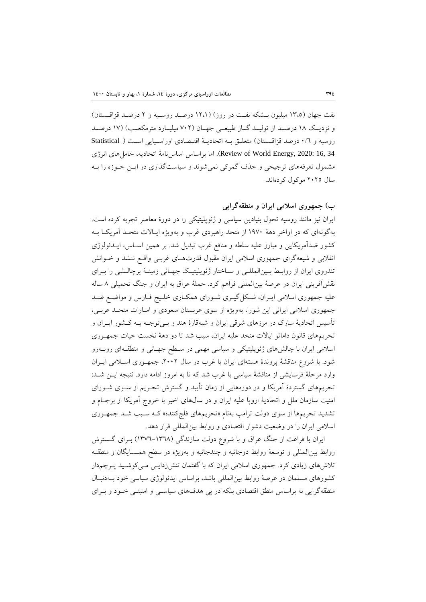نفت جهان (13،5 ميليون بـشكه نفـت در روز) (12،1 درصـد روسـيه و 2 درصـد قزاقـستان) و نزديــك 18 درصــد از توليــد گــاز طبيعــي جهــان (702 ميليــارد مترمكعــب) (17 درصــد روسيه و 0/6 درصد قزاقـستان) متعلـق بـه اتحاديـة اقتـصادي اوراسـيايي اسـت ( Statistical 84 ,Review of World Energy, 2020: اما براساس اساس نامة اتحاديه، حامل هاي انرژي مشمول تعرفههاي ترجيحي و حذف گمركي نميشوند و سياستگذاري در ايـن حـوزه را بـه سال 2025 موكول كردهاند.

## **ب) جمهوري اسلامي ايران و منطقهگرايي**

ايران نيز مانند روسيه تحول بنيادين سياسي و ژئوپليتيكي را در دورة معاصر تجربه كرده است. بهگونهاي كه در اواخر دهة 1970 از متحد راهبردي غرب و بهويژه ايـالات متحـد آمريكـا بـه كشور ضدآمريكايي و مبارز عليه سلطه و منافع غرب تبديل شد. بر همين اسـاس، ايـدئولوژي انقلابي و شيعهگراي جمهوري اسلامي ايران مقبول قدرتهـاي غربـي واقـع نـشد و خـوانش تندروي ايران از روابـط بـينالمللـي و سـاختار ژئوپليتيـك جهـاني زمينـة پرچالـشي را بـراي نقشآفريني ايران در عرصة بينالمللي فراهم كرد. حملة عراق به ايران و جنگ تحميلي 8 ساله عليه جمهوري اسلامي ايـران، شـكلگيـري شـوراي همكـاري خلـيج فـارس و مواضـع ضـد جمهوري اسلامي ايراني اين شورا، بهويژه از سوي عربستان سعودي و امـارات متحـد عربـي، تأسيس اتحادية سارك در مرزهاي شرقي ايران و شبهقارة هند و بـيتوجـه بـه كـشور ايـران و تحريمهاي قانون داماتو ايالات متحد عليه ايران، سبب شد تا دو دهة نخست حيات جمهـوري اسلامي ايران با چالشهاي ژئوپليتيكي و سياسي مهمي در سـطح جهـاني و منطقـهاي روبـهرو شود. با شروع مناقشة پروندة هستهاي ايران با غرب در سال ،2002 جمهـوري اسـلامي ايـران وارد مرحلة فرسايشي از مناقشة سياسي با غرب شد كه تا به امروز ادامه دارد. نتيجه ايـن شـد: تحريمهاي گستردة آمريكا و در دورههايي از زمان تأييد و گسترش تحـريم از سـوي شـوراي امنيت سازمان ملل و اتحادية اروپا عليه ايران و در سالهاي اخير با خروج آمريكا از برجـام و تشديد تحريمها از سوي دولت ترامپ بهنام «تحريمهاي فلجكننده» كـه سـبب شـد جمهـوري اسلامي ايران را در وضعيت دشوار اقتصادي و روابط بينالمللي قرار دهد.

ايران با فراغت از جنگ عراق و با شروع دولت سازندگي (1376-1368) بـراي گـسترش روابط بينالمللي و توسعة روابط دوجانبه و چندجانبه و بهويژه در سطح همـسايگان و منطقـه تلاشهاي زيادي كرد. جمهوري اسلامي ايران كه با گفتمان تنشزدايـي مـيكوشـيد پـرچمدار كشورهاي مسلمان در عرصة روابط بينالمللي باشد، براساس ايدئولوژي سياسي خود بـهدنبـال منطقهگرايي نه براساس منطق اقتصادي بلكه در پي هدفهاي سياسـي و امنيتـي خـود و بـراي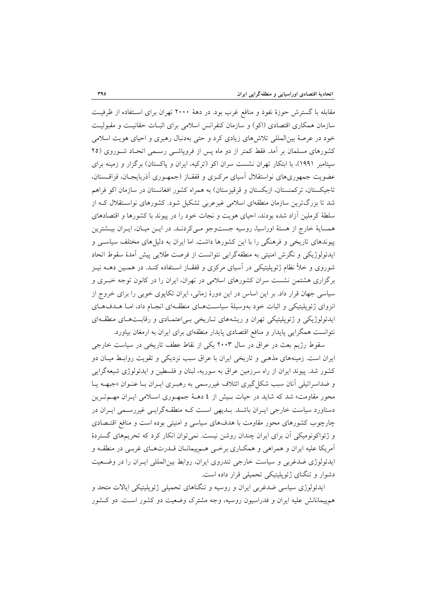مقابله با گسترش حوزة نفوذ و منافع غرب بود. در دهة 2000 تهران براي اسـتفاده از ظرفيـت سازمان همكاري اقتصادي (اكو) و سازمان كنفرانس اسلامي براي اثبـات حقانيـت و مقبوليـت خود در عرصة بينالمللي تلاشهاي زيادي كرد و حتي بهدنبال رهبري و احياي هويت اسلامي كشورهاي مسلمان بر آمد. فقط كمتر از دو ماه پس از فروپاشـي رسـمي اتحـاد شـوروي (25 سپتامبر 1991)، با ابتكار تهران نشست سران اكو (تركيه، ايران و پاكستان) برگزار و زمينه براي عضويت جمهوريهاي نواستقلال آسياي مركـزي و قفقـاز (جمهـوري آذربايجـان، قزاقـستان، تاجيكستان، تركمنستان، ازبكستان و قرقيزستان) به همراه كشور افغانستان در سازمان اكو فراهم شد تا بزرگترين سازمان منطقهاي اسلامي غيرعربي تشكيل شود. كشورهاي نواسـتقلال كـه از سلطة كرملين آزاد شده بودند، احياي هويت و نجات خود را در پيوند با كشورها و اقتصادهاي همساية خارج از هستة اوراسيا، روسيه جستوجو مـيكردنـد. در ايـن ميـان، ايـران بيـشترين پيوندهاي تاريخي و فرهنگي را با اين كشورها داشت. اما ايران به دليلهاي مختلف سياسـي و ايدئولوژيكي و نگرش امنيتي به منطقهگرايي نتوانست از فرصت طلايي پيش آمدة سقوط اتحاد شوروي و خلأ نظام ژئوپليتيكي در آسياي مركزي و قفقـاز اسـتفاده كنـد. در همـين دهـه نيـز برگزاري هشتمن نشست سران كشورهاي اسلامي در تهران، ايران را در كانون توجه خبـري و سياسي جهان قرار داد. بر اين اساس در اين دورة زماني، ايران تكاپوي خوبي را براي خروج از انزواي ژئوپليتيكي و اثبات خود بهوسيلة سياسـتهـاي منطقـهاي انجـام داد، امـا هـدفهـاي ايدئولوژيكي و ژئوپليتيكي تهران و ريشههاي تـاريخي بـياعتمـادي و رقابـتهـاي منطقـهاي نتوانست همگرايي پايدار و منافع اقتصادي پايدار منطقهاي براي ايران به ارمغان بياورد.

سقوط رژيم بعث در عراق در سال 2003 يكي از نقاط عطف تاريخي در سياست خارجي ايران است. زمينههاي مذهبي و تاريخي ايران با عراق سبب نزديكي و تقويت روابـط ميـان دو كشور شد. پيوند ايران از راه سرزمين عراق به سوريه، لبنان و فلسطين و ايدئولوژي شيعهگرايي و ضداسرائيلي آنان سبب شكل گيري ائتلاف غيررسمي به رهبـري ايـران بـا عنـوان «جبهــه يـا محور مقاومت» شد كه شايد در حيات بـيش از 4 دهـة جمهـوري اسـلامي ايـران مهـمتـرين دستاورد سياست خارجي ايـران باشـد. بـديهي اسـت كـه منطقـهگرايـي غيررسـمي ايـران در چارچوب كشورهاي محور مقاومت با هدفهاي سياسي و امنيتي بوده است و منافع اقتـصادي و ژئواكونوميكي آن براي ايران چندان روشن نيست. نميتوان انكار كرد كه تحريمهاي گستردة آمريكا عليه ايران و همراهي و همكـاري برخـي هـمپيمانـان قـدرتهـاي غربـي در منطقـه و ايدئولوژي ضدغربي و سياست خارجي تندروي ايران، روابط بينالمللي ايـران را در وضـعيت دشوار و تنگناي ژئوپليتيكي تحميلي قرار داده است.

ايدئولوژي سياسي ضدغربي ايران و روسيه و تنگناهاي تحميلي ژئوپليتيكي ايالات متحد و همپيمانانش عليه ايران و فدراسيون روسيه، وجه مشترك وضعيت دو كشور اسـت. دو كـشور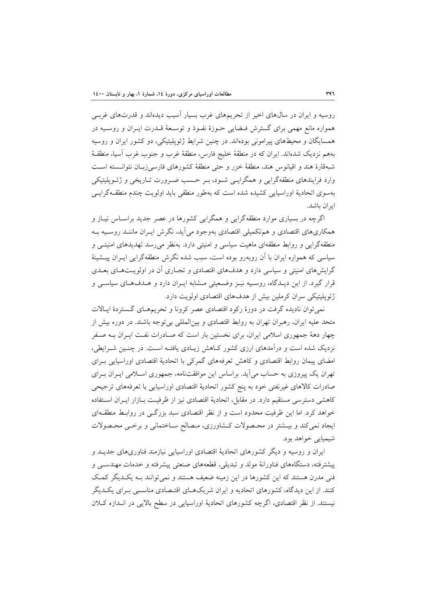روسيه و ايران در سالهاي اخير از تحريمهاي غرب بسيار آسيب ديدهاند و قدرتهاي غربـي همواره مانع مهمي براي گسترش فـضايي حـوزة نفـوذ و توسـعة قـدرت ايـران و روسـيه در همسايگان و محيطهاي پيراموني بودهاند. در چنين شرايط ژئوپليتيكي، دو كشور ايران و روسيه بههم نزديك شدهاند. ايران كه در منطقة خليج فارس، منطقة غرب و جنوب غرب آسيا، منطقـة شبهقارة هند و اقيانوس هند، منطقة خزر و حتي منطقة كشورهاي فارسيزبـان نتوانـسته اسـت وارد فرايندهاي منطقهگرايي و همگرايـي شـود، بـر حـسب ضـرورت تـاريخي و ژئـوپليتيكي بهسوي اتحادية اوراسيايي كشيده شده است كه بهطور منطقي بايد اولويت چندم منطقـهگرايـي ايران باشد.

اگرچه در بسياري موارد منطقهگرايي و همگرايي كشورها در عصر جديد براسـاس نيـاز و همكاريهاي اقتصادي و همتكميلي اقتصادي بهوجود ميآيد، نگرش ايـران ماننـد روسـيه بـه منطقهگرايي و روابط منطقهاي ماهيت سياسي و امنيتي دارد. بهنظر ميرسد تهديدهاي امنيتـي و سياسي كه همواره ايران با آن روبهرو بوده است، سبب شده نگرش منطقهگرايي ايـران پيـشينة گرايشهاي امنيتي و سياسي دارد و هدفهاي اقتصادي و تجـاري آن در اولويـتهـاي بعـدي قرار گيرد. از اين ديـدگاه، روسـيه نيـز وضـعيتي مـشابه ايـران دارد و هـدفهـاي سياسـي و ژئوپليتيكي سران كرملين بيش از هدفهاي اقتصادي اولويت دارد.

نميتوان ناديده گرفت در دورة ركود اقتصادي عصر كرونا و تحريمهـاي گـستردة ايـالات متحد عليه ايران، رهبران تهران به روابط اقتصادي و بينالمللي بيتوجه باشند. در دوره بيش از چهار دهة جمهوري اسلامي ايران، براي نخستين بار است كه صـادرات نفـت ايـران بـه صـفر نزديك شده است و درآمدهاي ارزي كشور كـاهش زيـادي يافتـه اسـت. در چنـين شـرايطي، امضاي پيمان روابط اقتصادي و كاهش تعرفههاي گمركي با اتحادية اقتصادي اوراسيايي بـراي تهران يك پيروزي به حساب ميآيد. براساس اين موافقتنامه، جمهوري اسـلامي ايـران بـراي صادرات كالاهاي غيرنفتي خود به پنج كشور اتحادية اقتصادي اوراسيايي با تعرفههاي ترجيحي كاهشي دسترسي مستقيم دارد. در مقابل، اتحادية اقتصادي نيز از ظرفيـت بـازار ايـران اسـتفاده خواهد كرد. اما اين ظرفيت محدود است و از نظر اقتصادي سبد بزرگـي در روابـط منطقـهاي ايجاد نميكند و بيـشتر در محـصولات كـشاورزي، مـصالح سـاختماني و برخـي محـصولات شيميايي خواهد بود.

ايران و روسيه و ديگر كشورهاي اتحادية اقتصادي اوراسيايي نيازمند فناوريهاي جديـد و پيشترفته، دستگاههاي فناورانة مولد و تبديلي، قطعههاي صنعتي پيشرفته و خدمات مهندسـي و فني مدرن هستند كه اين كشورها در اين زمينه ضعيف هستند و نميتوانند بـه يكـديگر كمـك كنند. از اين ديدگاه، كشورهاي اتحاديه و ايران شريكهـاي اقتـصادي مناسـبي بـراي يكـديگر نيستند. از نظر اقتصادي، اگرچه كشورهاي اتحادية اوراسيايي در سطح بالايي در انـدازه كـلان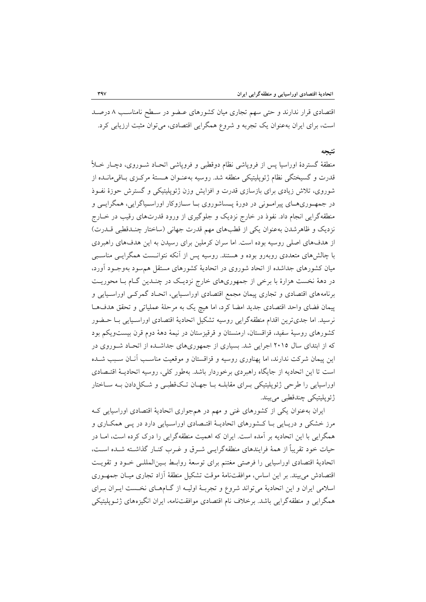اقتصادي قرار ندارند و حتي سهم تجاري ميان كشورهاي عـضو در سـطح نامناسـب 8 درصـد است، براي ايران بهعنوان يك تجربه و شروع همگرايي اقتصادي، ميتوان مثبت ارزيابي كرد.

### **نتيجه**

منطقة گستردة اوراسيا پس از فروپاشي نظام دوقطبي و فروپاشي اتحـاد شـوروي، دچـار خـلأ قدرت و گسيختگي نظام ژئوپليتيكي منطقه شد. روسيه بهعنـوان هـستة مركـزي بـاقيمانـده از شوروي، تلاش زيادي براي بازسازي قدرت و افزايش وزن ژئوپليتيكي و گسترش حوزة نفـوذ در جمهـوريهـاي پيرامـوني در دورة پـساشوروي بـا سـازوكار اوراسـياگرايي، همگرايـي و منطقهگرايي انجام داد. نفوذ در خارج نزديك و جلوگيري از ورود قدرتهاي رقيب در خـارج نزديك و ظاهرشدن بهعنوان يكي از قطبهاي مهم قدرت جهاني (ساختار چنـدقطبي قـدرت) از هدفهاي اصلي روسيه بوده است. اما سران كرملين براي رسيدن به اين هدفهاي راهبردي با چالشهاي متعددي روبهرو بوده و هستند. روسيه پس از آنكه نتوانـست همگرايـي مناسـبي ميان كشورهاي جداشده از اتحاد شوروي در اتحادية كشورهاي مستقل همسود بهوجـود آورد، در دهة نخست هزارة با برخي از جمهوريهاي خارج نزديـك در چنـدين گـام بـا محوريـت برنامههاي اقتصادي و تجاري پيمان مجمع اقتصادي اوراسـيايي، اتحـاد گمركـي اوراسـيايي و پيمان فضاي واحد اقتصادي جديد امضا كرد، اما هيچ يك به مرحلة عملياتي و تحقق هدفهـا نرسيد. اما جديترين اقدام منطقهگرايي روسيه تشكيل اتحادية اقتصادي اوراسـيايي بـا حـضور كشورهاي روسية سفيد، قزاقستان، ارمنستان و قرقيزستان در نيمة دهة دوم قرن بيستويكم بود كه از ابتداي سال 2015 اجرايي شد. بسياري از جمهوريهاي جداشـده از اتحـاد شـوروي در اين پيمان شركت ندارند، اما پهناوري روسيه و قزاقستان و موقعيت مناسـب آنـان سـبب شـده است تا اين اتحاديه از جايگاه راهبردي برخوردار باشد. بهطور كلي، روسيه اتحاديـة اقتـصادي اوراسيايي را طرحي ژئوپليتيكي بـراي مقابلـه بـا جهـان تـكقطبـي و شـكلدادن بـه سـاختار ژئوپليتيكي چندقطبي ميبيند.

ايران بهعنوان يكي از كشورهاي غني و مهم در همجواري اتحادية اقتصادي اوراسيايي كـه مرز خشكي و دريـايي بـا كـشورهاي اتحاديـة اقتـصادي اوراسـيايي دارد در پـي همكـاري و همگرايي با اين اتحاديه بر آمده است. ايران كه اهميت منطقهگرايي را درك كرده است، امـا در حيات خود تقريباً از همة فرايندهاي منطقهگرايـي شـرق و غـرب كنـار گذاشـته شـده اسـت، اتحادية اقتصادي اوراسيايي را فرصتي مغتنم براي توسعة روابـط بـينالمللـي خـود و تقويـت اقتصادش ميبيند. بر اين اساس، موافقتنامة موقت تشكيل منطقة آزاد تجاري ميـان جمهـوري اسلامي ايران و اين اتحادية ميتواند شروع و تجربـة اوليـه از گـامهـاي نخـست ايـران بـراي همگرايي و منطقهگرايي باشد. برخلاف نام اقتصادي موافقتنامه، ايران انگيزههاي ژئـوپليتيكي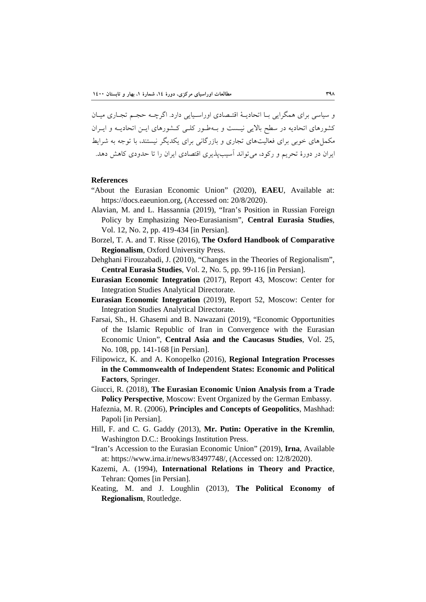و سياسي براي همگرايي بـا اتحاديـة اقتـصادي اوراسـيايي دارد. اگرچـه حجـم تجـاري ميـان كشورهاي اتحاديه در سطح بالايي نيـست و بـهطـور كلـي كـشورهاي ايـن اتحاديـه و ايـران مكملهاي خوبي براي فعاليتهاي تجاري و بازرگاني براي يكديگر نيستند، با توجه به شرايط ايران در دورة تحريم و ركود، ميتواند آسيبپذيري اقتصادي ايران را تا حدودي كاهش دهد.

### **References**

- "About the Eurasian Economic Union" (2020), **EAEU**, Available at: https://docs.eaeunion.org, (Accessed on: 20/8/2020).
- Alavian, M. and L. Hassannia (2019), "Iran's Position in Russian Foreign Policy by Emphasizing Neo-Eurasianism", **Central Eurasia Studies**, Vol. 12, No. 2, pp. 419-434 [in Persian].
- Borzel, T. A. and T. Risse (2016), **The Oxford Handbook of Comparative Regionalism**, Oxford University Press.
- Dehghani Firouzabadi, J. (2010), "Changes in the Theories of Regionalism", **Central Eurasia Studies**, Vol. 2, No. 5, pp. 99-116 [in Persian].
- **Eurasian Economic Integration** (2017), Report 43, Moscow: Center for Integration Studies Analytical Directorate.
- **Eurasian Economic Integration** (2019), Report 52, Moscow: Center for Integration Studies Analytical Directorate.
- Farsai, Sh., H. Ghasemi and B. Nawazani (2019), "Economic Opportunities of the Islamic Republic of Iran in Convergence with the Eurasian Economic Union", **Central Asia and the Caucasus Studies**, Vol. 25, No. 108, pp. 141-168 [in Persian].
- Filipowicz, K. and A. Konopelko (2016), **Regional Integration Processes in the Commonwealth of Independent States: Economic and Political Factors**, Springer.
- Giucci, R. (2018), **The Eurasian Economic Union Analysis from a Trade Policy Perspective, Moscow: Event Organized by the German Embassy.**
- Hafeznia, M. R. (2006), **Principles and Concepts of Geopolitics**, Mashhad: Papoli [in Persian].
- Hill, F. and C. G. Gaddy (2013), **Mr. Putin: Operative in the Kremlin**, Washington D.C.: Brookings Institution Press.
- "Iran's Accession to the Eurasian Economic Union" (2019), **Irna**, Available at: https://www.irna.ir/news/83497748/, (Accessed on: 12/8/2020).
- Kazemi, A. (1994), **International Relations in Theory and Practice**, Tehran: Qomes [in Persian].
- Keating, M. and J. Loughlin (2013), **The Political Economy of Regionalism**, Routledge.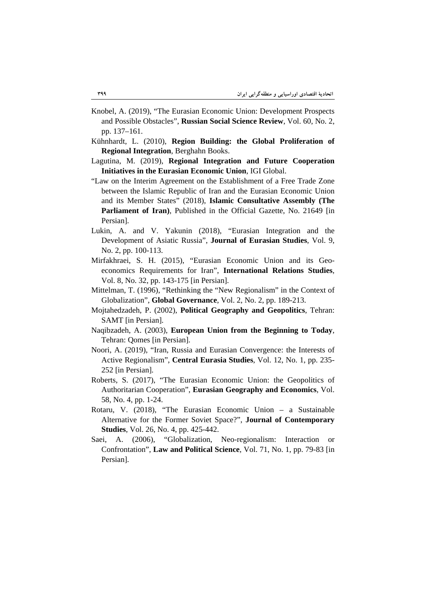- Knobel, A. (2019), "The Eurasian Economic Union: Development Prospects and Possible Obstacles", **Russian Social Science Review**, Vol. 60, No. 2, pp. 137–161.
- Kühnhardt, L. (2010), **Region Building: the Global Proliferation of Regional Integration**, Berghahn Books.
- Lagutina, M. (2019), **Regional Integration and Future Cooperation Initiatives in the Eurasian Economic Union**, IGI Global.
- "Law on the Interim Agreement on the Establishment of a Free Trade Zone between the Islamic Republic of Iran and the Eurasian Economic Union and its Member States" (2018), **Islamic Consultative Assembly (The Parliament of Iran)**, Published in the Official Gazette, No. 21649 [in Persian].
- Lukin, A. and V. Yakunin (2018), "Eurasian Integration and the Development of Asiatic Russia", **Journal of Eurasian Studies**, Vol. 9, No. 2, pp. 100-113.
- Mirfakhraei, S. H. (2015), "Eurasian Economic Union and its Geoeconomics Requirements for Iran", **International Relations Studies**, Vol. 8, No. 32, pp. 143-175 [in Persian].
- Mittelman, T. (1996), "Rethinking the "New Regionalism" in the Context of Globalization", **Global Governance**, Vol. 2, No. 2, pp. 189-213.
- Mojtahedzadeh, P. (2002), **Political Geography and Geopolitics**, Tehran: SAMT [in Persian].
- Naqibzadeh, A. (2003), **European Union from the Beginning to Today**, Tehran: Qomes [in Persian].
- Noori, A. (2019), "Iran, Russia and Eurasian Convergence: the Interests of Active Regionalism", **Central Eurasia Studies**, Vol. 12, No. 1, pp. 235- 252 [in Persian].
- Roberts, S. (2017), "The Eurasian Economic Union: the Geopolitics of Authoritarian Cooperation", **Eurasian Geography and Economics**, Vol. 58, No. 4, pp. 1-24.
- Rotaru, V. (2018), "The Eurasian Economic Union a Sustainable Alternative for the Former Soviet Space?", **Journal of Contemporary Studies**, Vol. 26, No. 4, pp. 425-442.
- Saei, A. (2006), "Globalization, Neo-regionalism: Interaction or Confrontation", **Law and Political Science**, Vol. 71, No. 1, pp. 79-83 [in Persian].